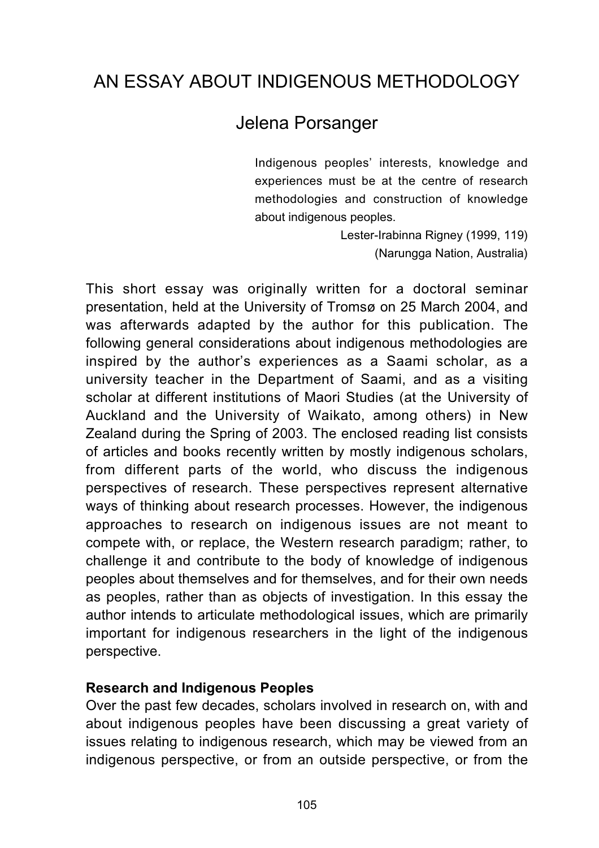# AN ESSAY ABOUT INDIGENOUS METHODOLOGY

## Jelena Porsanger

Indigenous peoples' interests, knowledge and experiences must be at the centre of research methodologies and construction of knowledge about indigenous peoples.

> Lester-Irabinna Rigney (1999, 119) (Narungga Nation, Australia)

This short essay was originally written for a doctoral seminar presentation, held at the University of Tromsø on 25 March 2004, and was afterwards adapted by the author for this publication. The following general considerations about indigenous methodologies are inspired by the author's experiences as a Saami scholar, as a university teacher in the Department of Saami, and as a visiting scholar at different institutions of Maori Studies (at the University of Auckland and the University of Waikato, among others) in New Zealand during the Spring of 2003. The enclosed reading list consists of articles and books recently written by mostly indigenous scholars, from different parts of the world, who discuss the indigenous perspectives of research. These perspectives represent alternative ways of thinking about research processes. However, the indigenous approaches to research on indigenous issues are not meant to compete with, or replace, the Western research paradigm; rather, to challenge it and contribute to the body of knowledge of indigenous peoples about themselves and for themselves, and for their own needs as peoples, rather than as objects of investigation. In this essay the author intends to articulate methodological issues, which are primarily important for indigenous researchers in the light of the indigenous perspective.

### **Research and Indigenous Peoples**

Over the past few decades, scholars involved in research on, with and about indigenous peoples have been discussing a great variety of issues relating to indigenous research, which may be viewed from an indigenous perspective, or from an outside perspective, or from the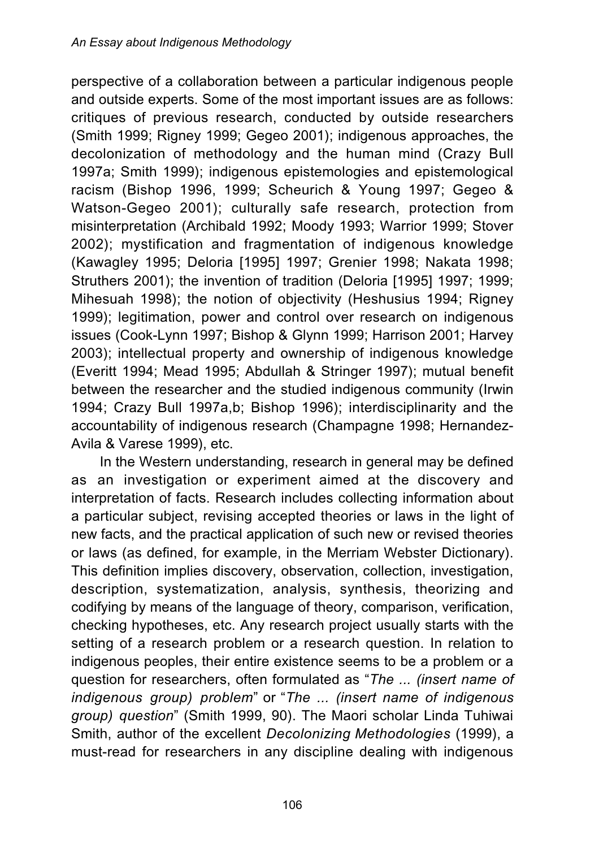perspective of a collaboration between a particular indigenous people and outside experts. Some of the most important issues are as follows: critiques of previous research, conducted by outside researchers (Smith 1999; Rigney 1999; Gegeo 2001); indigenous approaches, the decolonization of methodology and the human mind (Crazy Bull 1997a; Smith 1999); indigenous epistemologies and epistemological racism (Bishop 1996, 1999; Scheurich & Young 1997; Gegeo & Watson-Gegeo 2001); culturally safe research, protection from misinterpretation (Archibald 1992; Moody 1993; Warrior 1999; Stover 2002); mystification and fragmentation of indigenous knowledge (Kawagley 1995; Deloria [1995] 1997; Grenier 1998; Nakata 1998; Struthers 2001); the invention of tradition (Deloria [1995] 1997; 1999; Mihesuah 1998); the notion of objectivity (Heshusius 1994; Rigney 1999); legitimation, power and control over research on indigenous issues (Cook-Lynn 1997; Bishop & Glynn 1999; Harrison 2001; Harvey 2003); intellectual property and ownership of indigenous knowledge (Everitt 1994; Mead 1995; Abdullah & Stringer 1997); mutual benefit between the researcher and the studied indigenous community (Irwin 1994; Crazy Bull 1997a,b; Bishop 1996); interdisciplinarity and the accountability of indigenous research (Champagne 1998; Hernandez-Avila & Varese 1999), etc.

In the Western understanding, research in general may be defined as an investigation or experiment aimed at the discovery and interpretation of facts. Research includes collecting information about a particular subject, revising accepted theories or laws in the light of new facts, and the practical application of such new or revised theories or laws (as defined, for example, in the Merriam Webster Dictionary). This definition implies discovery, observation, collection, investigation, description, systematization, analysis, synthesis, theorizing and codifying by means of the language of theory, comparison, verification, checking hypotheses, etc. Any research project usually starts with the setting of a research problem or a research question. In relation to indigenous peoples, their entire existence seems to be a problem or a question for researchers, often formulated as "*The ... (insert name of indigenous group) problem*" or "*The ... (insert name of indigenous group) question*" (Smith 1999, 90). The Maori scholar Linda Tuhiwai Smith, author of the excellent *Decolonizing Methodologies* (1999), a must-read for researchers in any discipline dealing with indigenous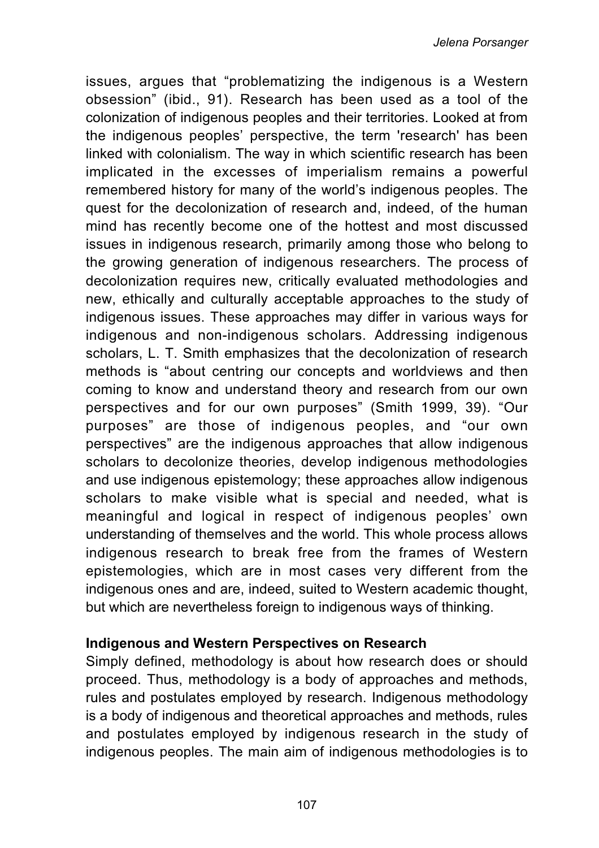issues, argues that "problematizing the indigenous is a Western obsession" (ibid., 91). Research has been used as a tool of the colonization of indigenous peoples and their territories. Looked at from the indigenous peoples' perspective, the term 'research' has been linked with colonialism. The way in which scientific research has been implicated in the excesses of imperialism remains a powerful remembered history for many of the world's indigenous peoples. The quest for the decolonization of research and, indeed, of the human mind has recently become one of the hottest and most discussed issues in indigenous research, primarily among those who belong to the growing generation of indigenous researchers. The process of decolonization requires new, critically evaluated methodologies and new, ethically and culturally acceptable approaches to the study of indigenous issues. These approaches may differ in various ways for indigenous and non-indigenous scholars. Addressing indigenous scholars, L. T. Smith emphasizes that the decolonization of research methods is "about centring our concepts and worldviews and then coming to know and understand theory and research from our own perspectives and for our own purposes" (Smith 1999, 39). "Our purposes" are those of indigenous peoples, and "our own perspectives" are the indigenous approaches that allow indigenous scholars to decolonize theories, develop indigenous methodologies and use indigenous epistemology; these approaches allow indigenous scholars to make visible what is special and needed, what is meaningful and logical in respect of indigenous peoples' own understanding of themselves and the world. This whole process allows indigenous research to break free from the frames of Western epistemologies, which are in most cases very different from the indigenous ones and are, indeed, suited to Western academic thought, but which are nevertheless foreign to indigenous ways of thinking.

### **Indigenous and Western Perspectives on Research**

Simply defined, methodology is about how research does or should proceed. Thus, methodology is a body of approaches and methods, rules and postulates employed by research. Indigenous methodology is a body of indigenous and theoretical approaches and methods, rules and postulates employed by indigenous research in the study of indigenous peoples. The main aim of indigenous methodologies is to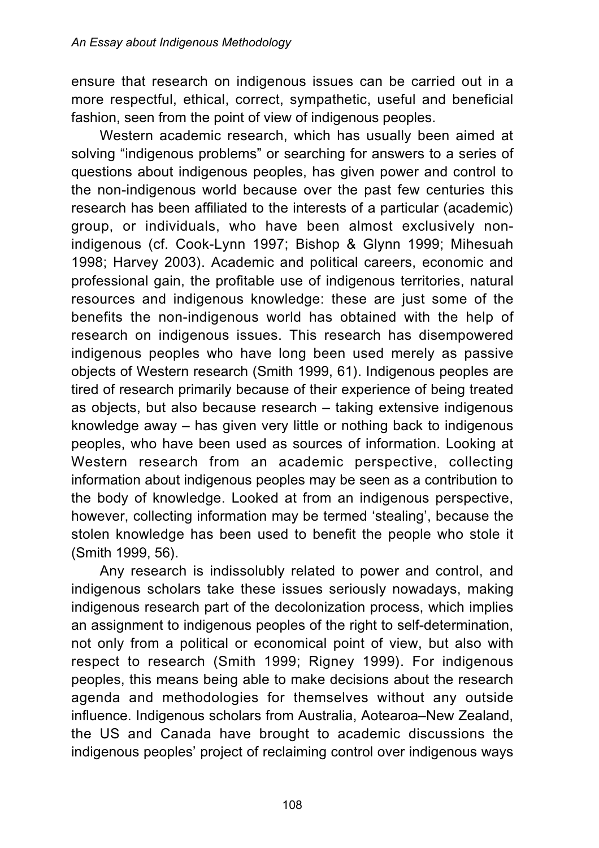ensure that research on indigenous issues can be carried out in a more respectful, ethical, correct, sympathetic, useful and beneficial fashion, seen from the point of view of indigenous peoples.

Western academic research, which has usually been aimed at solving "indigenous problems" or searching for answers to a series of questions about indigenous peoples, has given power and control to the non-indigenous world because over the past few centuries this research has been affiliated to the interests of a particular (academic) group, or individuals, who have been almost exclusively nonindigenous (cf. Cook-Lynn 1997; Bishop & Glynn 1999; Mihesuah 1998; Harvey 2003). Academic and political careers, economic and professional gain, the profitable use of indigenous territories, natural resources and indigenous knowledge: these are just some of the benefits the non-indigenous world has obtained with the help of research on indigenous issues. This research has disempowered indigenous peoples who have long been used merely as passive objects of Western research (Smith 1999, 61). Indigenous peoples are tired of research primarily because of their experience of being treated as objects, but also because research – taking extensive indigenous knowledge away – has given very little or nothing back to indigenous peoples, who have been used as sources of information. Looking at Western research from an academic perspective, collecting information about indigenous peoples may be seen as a contribution to the body of knowledge. Looked at from an indigenous perspective, however, collecting information may be termed 'stealing', because the stolen knowledge has been used to benefit the people who stole it (Smith 1999, 56).

Any research is indissolubly related to power and control, and indigenous scholars take these issues seriously nowadays, making indigenous research part of the decolonization process, which implies an assignment to indigenous peoples of the right to self-determination, not only from a political or economical point of view, but also with respect to research (Smith 1999; Rigney 1999). For indigenous peoples, this means being able to make decisions about the research agenda and methodologies for themselves without any outside influence. Indigenous scholars from Australia, Aotearoa–New Zealand, the US and Canada have brought to academic discussions the indigenous peoples' project of reclaiming control over indigenous ways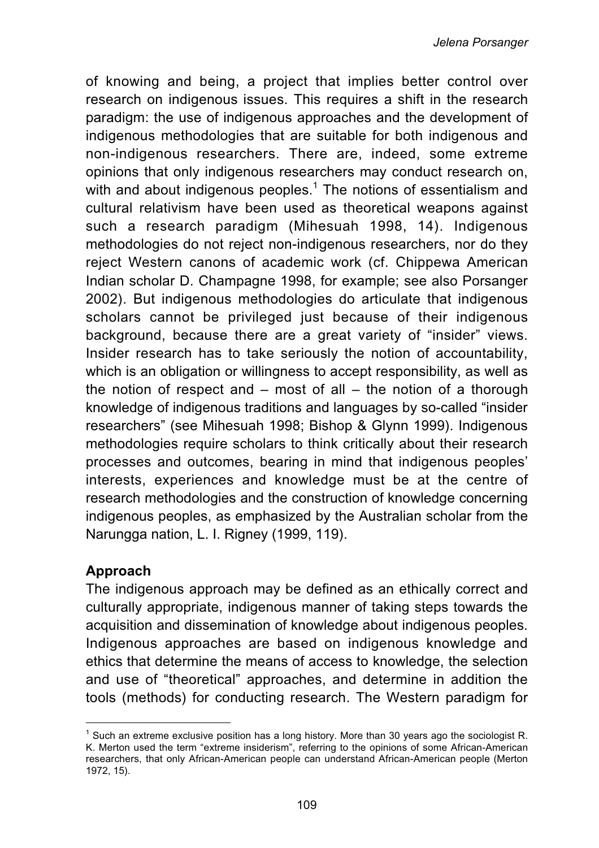of knowing and being, a project that implies better control over research on indigenous issues. This requires a shift in the research paradigm: the use of indigenous approaches and the development of indigenous methodologies that are suitable for both indigenous and non-indigenous researchers. There are, indeed, some extreme opinions that only indigenous researchers may conduct research on, with and about indigenous peoples.<sup>1</sup> The notions of essentialism and cultural relativism have been used as theoretical weapons against such a research paradigm (Mihesuah 1998, 14). Indigenous methodologies do not reject non-indigenous researchers, nor do they reject Western canons of academic work (cf. Chippewa American Indian scholar D. Champagne 1998, for example; see also Porsanger 2002). But indigenous methodologies do articulate that indigenous scholars cannot be privileged just because of their indigenous background, because there are a great variety of "insider" views. Insider research has to take seriously the notion of accountability, which is an obligation or willingness to accept responsibility, as well as the notion of respect and  $-$  most of all  $-$  the notion of a thorough knowledge of indigenous traditions and languages by so-called "insider researchers" (see Mihesuah 1998; Bishop & Glynn 1999). Indigenous methodologies require scholars to think critically about their research processes and outcomes, bearing in mind that indigenous peoples' interests, experiences and knowledge must be at the centre of research methodologies and the construction of knowledge concerning indigenous peoples, as emphasized by the Australian scholar from the Narungga nation, L. I. Rigney (1999, 119).

### **Approach**

The indigenous approach may be defined as an ethically correct and culturally appropriate, indigenous manner of taking steps towards the acquisition and dissemination of knowledge about indigenous peoples. Indigenous approaches are based on indigenous knowledge and ethics that determine the means of access to knowledge, the selection and use of "theoretical" approaches, and determine in addition the tools (methods) for conducting research. The Western paradigm for

 $1$  Such an extreme exclusive position has a long history. More than 30 years ago the sociologist R. K. Merton used the term "extreme insiderism", referring to the opinions of some African-American researchers, that only African-American people can understand African-American people (Merton 1972, 15).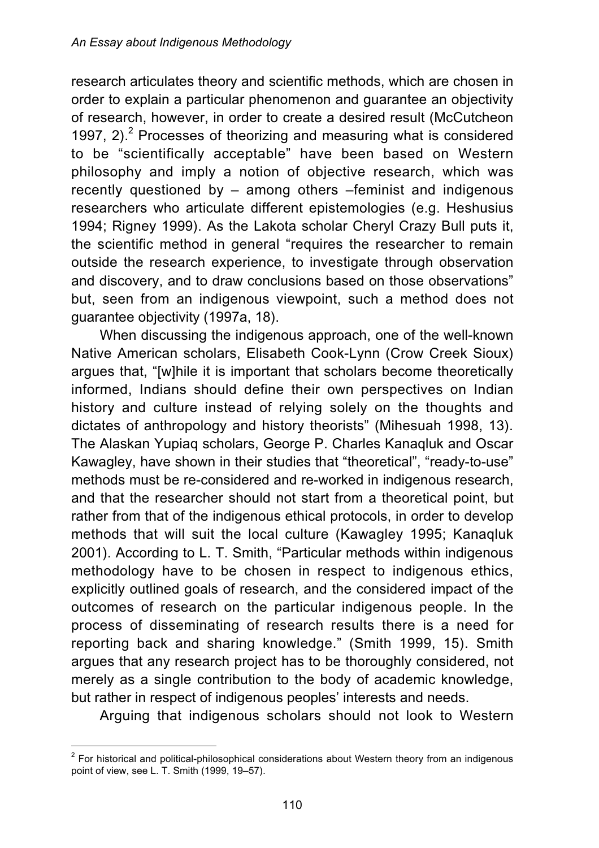research articulates theory and scientific methods, which are chosen in order to explain a particular phenomenon and guarantee an objectivity of research, however, in order to create a desired result (McCutcheon 1997,  $2$ ).<sup>2</sup> Processes of theorizing and measuring what is considered to be "scientifically acceptable" have been based on Western philosophy and imply a notion of objective research, which was recently questioned by – among others –feminist and indigenous researchers who articulate different epistemologies (e.g. Heshusius 1994; Rigney 1999). As the Lakota scholar Cheryl Crazy Bull puts it, the scientific method in general "requires the researcher to remain outside the research experience, to investigate through observation and discovery, and to draw conclusions based on those observations" but, seen from an indigenous viewpoint, such a method does not guarantee objectivity (1997a, 18).

When discussing the indigenous approach, one of the well-known Native American scholars, Elisabeth Cook-Lynn (Crow Creek Sioux) argues that, "[w]hile it is important that scholars become theoretically informed, Indians should define their own perspectives on Indian history and culture instead of relying solely on the thoughts and dictates of anthropology and history theorists" (Mihesuah 1998, 13). The Alaskan Yupiaq scholars, George P. Charles Kanaqluk and Oscar Kawagley, have shown in their studies that "theoretical", "ready-to-use" methods must be re-considered and re-worked in indigenous research, and that the researcher should not start from a theoretical point, but rather from that of the indigenous ethical protocols, in order to develop methods that will suit the local culture (Kawagley 1995; Kanaqluk 2001). According to L. T. Smith, "Particular methods within indigenous methodology have to be chosen in respect to indigenous ethics, explicitly outlined goals of research, and the considered impact of the outcomes of research on the particular indigenous people. In the process of disseminating of research results there is a need for reporting back and sharing knowledge." (Smith 1999, 15). Smith argues that any research project has to be thoroughly considered, not merely as a single contribution to the body of academic knowledge, but rather in respect of indigenous peoples' interests and needs.

Arguing that indigenous scholars should not look to Western

 $2$  For historical and political-philosophical considerations about Western theory from an indigenous point of view, see L. T. Smith (1999, 19–57).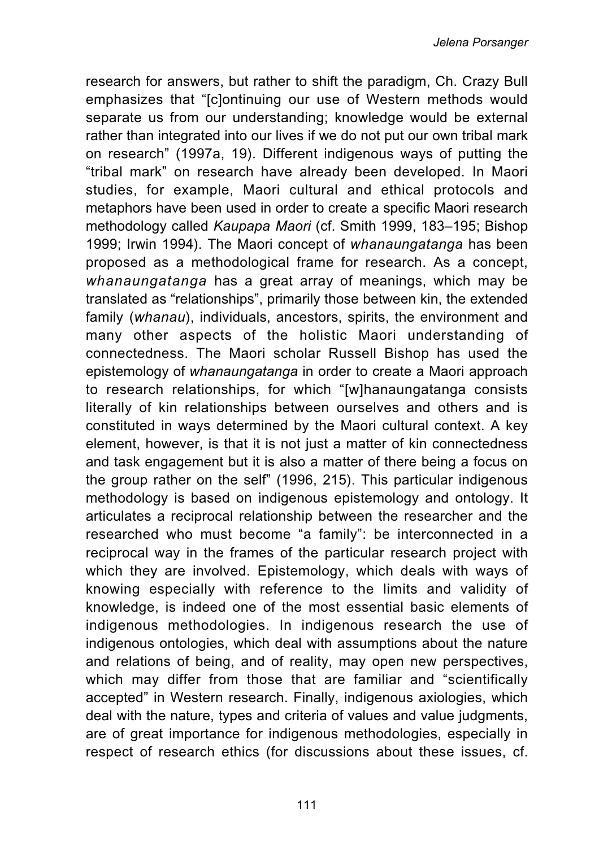research for answers, but rather to shift the paradigm, Ch. Crazy Bull emphasizes that "[c]ontinuing our use of Western methods would separate us from our understanding; knowledge would be external rather than integrated into our lives if we do not put our own tribal mark on research" (1997a, 19). Different indigenous ways of putting the "tribal mark" on research have already been developed. In Maori studies, for example, Maori cultural and ethical protocols and metaphors have been used in order to create a specific Maori research methodology called *Kaupapa Maori* (cf. Smith 1999, 183–195; Bishop 1999; Irwin 1994). The Maori concept of *whanaungatanga* has been proposed as a methodological frame for research. As a concept, *whanaungatanga* has a great array of meanings, which may be translated as "relationships", primarily those between kin, the extended family (*whanau*), individuals, ancestors, spirits, the environment and many other aspects of the holistic Maori understanding of connectedness. The Maori scholar Russell Bishop has used the epistemology of *whanaungatanga* in order to create a Maori approach to research relationships, for which "[w]hanaungatanga consists literally of kin relationships between ourselves and others and is constituted in ways determined by the Maori cultural context. A key element, however, is that it is not just a matter of kin connectedness and task engagement but it is also a matter of there being a focus on the group rather on the self" (1996, 215). This particular indigenous methodology is based on indigenous epistemology and ontology. It articulates a reciprocal relationship between the researcher and the researched who must become "a family": be interconnected in a reciprocal way in the frames of the particular research project with which they are involved. Epistemology, which deals with ways of knowing especially with reference to the limits and validity of knowledge, is indeed one of the most essential basic elements of indigenous methodologies. In indigenous research the use of indigenous ontologies, which deal with assumptions about the nature and relations of being, and of reality, may open new perspectives, which may differ from those that are familiar and "scientifically accepted" in Western research. Finally, indigenous axiologies, which deal with the nature, types and criteria of values and value judgments, are of great importance for indigenous methodologies, especially in respect of research ethics (for discussions about these issues, cf.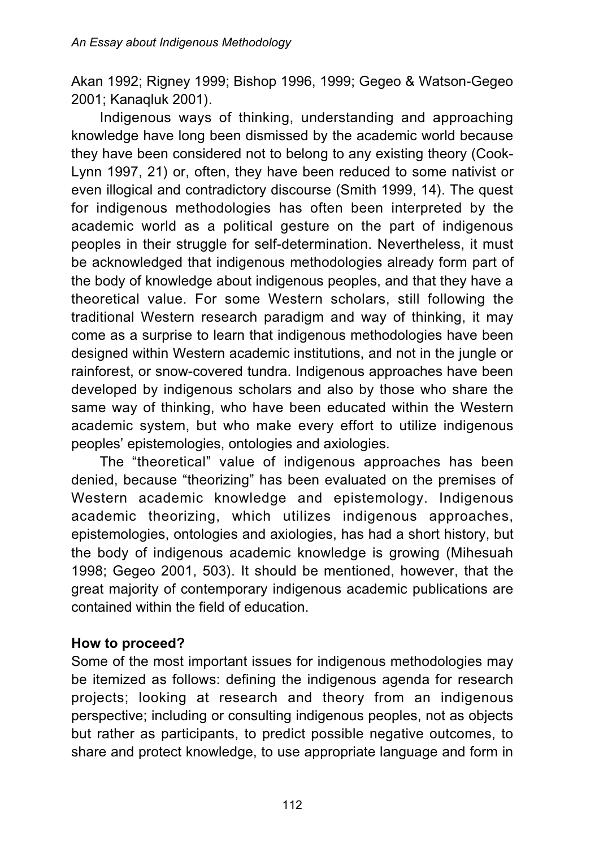Akan 1992; Rigney 1999; Bishop 1996, 1999; Gegeo & Watson-Gegeo 2001; Kanaqluk 2001).

Indigenous ways of thinking, understanding and approaching knowledge have long been dismissed by the academic world because they have been considered not to belong to any existing theory (Cook-Lynn 1997, 21) or, often, they have been reduced to some nativist or even illogical and contradictory discourse (Smith 1999, 14). The quest for indigenous methodologies has often been interpreted by the academic world as a political gesture on the part of indigenous peoples in their struggle for self-determination. Nevertheless, it must be acknowledged that indigenous methodologies already form part of the body of knowledge about indigenous peoples, and that they have a theoretical value. For some Western scholars, still following the traditional Western research paradigm and way of thinking, it may come as a surprise to learn that indigenous methodologies have been designed within Western academic institutions, and not in the jungle or rainforest, or snow-covered tundra. Indigenous approaches have been developed by indigenous scholars and also by those who share the same way of thinking, who have been educated within the Western academic system, but who make every effort to utilize indigenous peoples' epistemologies, ontologies and axiologies.

The "theoretical" value of indigenous approaches has been denied, because "theorizing" has been evaluated on the premises of Western academic knowledge and epistemology. Indigenous academic theorizing, which utilizes indigenous approaches, epistemologies, ontologies and axiologies, has had a short history, but the body of indigenous academic knowledge is growing (Mihesuah 1998; Gegeo 2001, 503). It should be mentioned, however, that the great majority of contemporary indigenous academic publications are contained within the field of education.

### **How to proceed?**

Some of the most important issues for indigenous methodologies may be itemized as follows: defining the indigenous agenda for research projects; looking at research and theory from an indigenous perspective; including or consulting indigenous peoples, not as objects but rather as participants, to predict possible negative outcomes, to share and protect knowledge, to use appropriate language and form in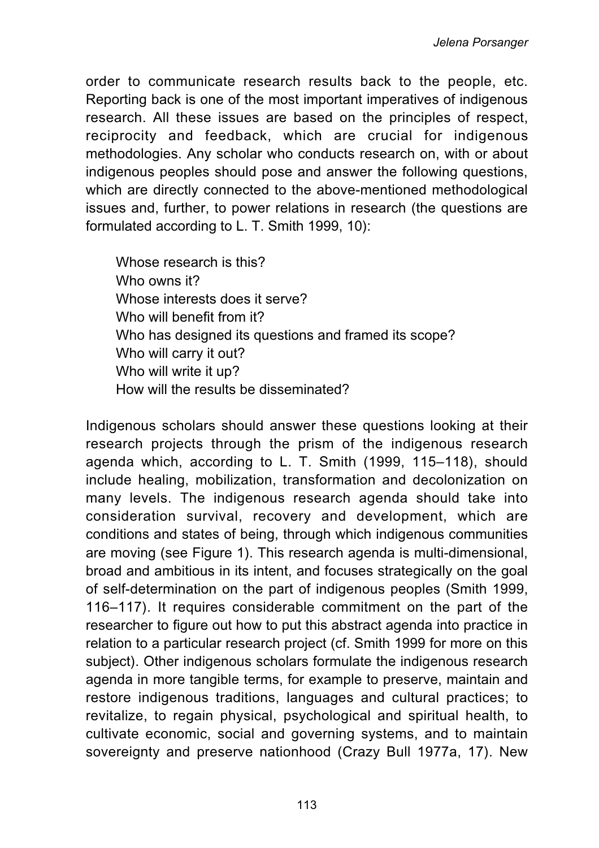order to communicate research results back to the people, etc. Reporting back is one of the most important imperatives of indigenous research. All these issues are based on the principles of respect, reciprocity and feedback, which are crucial for indigenous methodologies. Any scholar who conducts research on, with or about indigenous peoples should pose and answer the following questions, which are directly connected to the above-mentioned methodological issues and, further, to power relations in research (the questions are formulated according to L. T. Smith 1999, 10):

Whose research is this? Who owns it? Whose interests does it serve? Who will benefit from it? Who has designed its questions and framed its scope? Who will carry it out? Who will write it up? How will the results be disseminated?

Indigenous scholars should answer these questions looking at their research projects through the prism of the indigenous research agenda which, according to L. T. Smith (1999, 115–118), should include healing, mobilization, transformation and decolonization on many levels. The indigenous research agenda should take into consideration survival, recovery and development, which are conditions and states of being, through which indigenous communities are moving (see Figure 1). This research agenda is multi-dimensional, broad and ambitious in its intent, and focuses strategically on the goal of self-determination on the part of indigenous peoples (Smith 1999, 116–117). It requires considerable commitment on the part of the researcher to figure out how to put this abstract agenda into practice in relation to a particular research project (cf. Smith 1999 for more on this subject). Other indigenous scholars formulate the indigenous research agenda in more tangible terms, for example to preserve, maintain and restore indigenous traditions, languages and cultural practices; to revitalize, to regain physical, psychological and spiritual health, to cultivate economic, social and governing systems, and to maintain sovereignty and preserve nationhood (Crazy Bull 1977a, 17). New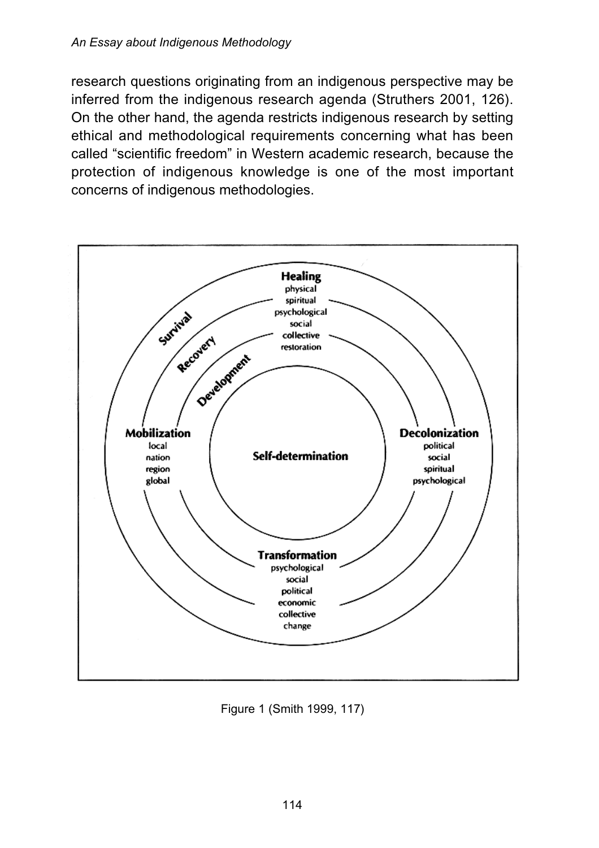research questions originating from an indigenous perspective may be inferred from the indigenous research agenda (Struthers 2001, 126). On the other hand, the agenda restricts indigenous research by setting ethical and methodological requirements concerning what has been called "scientific freedom" in Western academic research, because the protection of indigenous knowledge is one of the most important concerns of indigenous methodologies.



Figure 1 (Smith 1999, 117)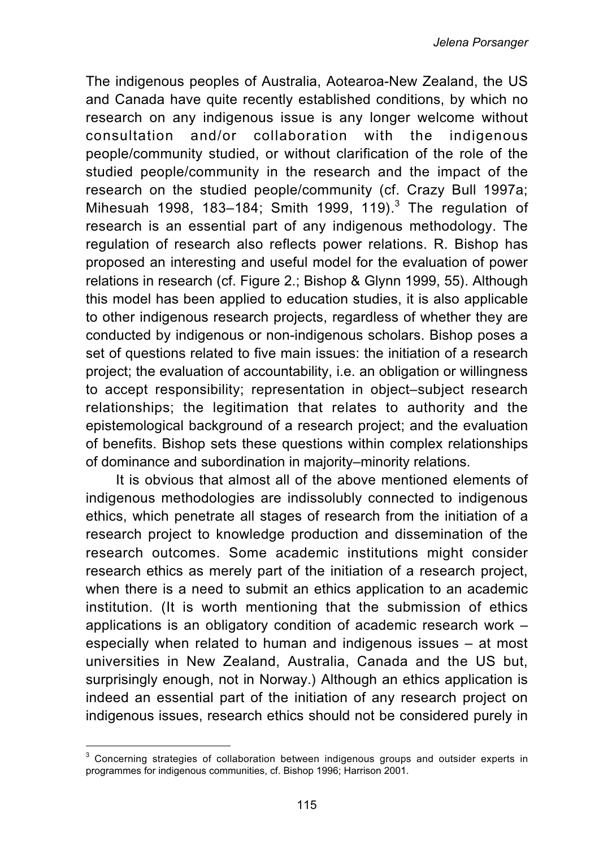The indigenous peoples of Australia, Aotearoa-New Zealand, the US and Canada have quite recently established conditions, by which no research on any indigenous issue is any longer welcome without consultation and/or collaboration with the indigenous people/community studied, or without clarification of the role of the studied people/community in the research and the impact of the research on the studied people/community (cf. Crazy Bull 1997a; Mihesuah 1998, 183-184; Smith 1999, 119). $^3$  The regulation of research is an essential part of any indigenous methodology. The regulation of research also reflects power relations. R. Bishop has proposed an interesting and useful model for the evaluation of power relations in research (cf. Figure 2.; Bishop & Glynn 1999, 55). Although this model has been applied to education studies, it is also applicable to other indigenous research projects, regardless of whether they are conducted by indigenous or non-indigenous scholars. Bishop poses a set of questions related to five main issues: the initiation of a research project; the evaluation of accountability, i.e. an obligation or willingness to accept responsibility; representation in object–subject research relationships; the legitimation that relates to authority and the epistemological background of a research project; and the evaluation of benefits. Bishop sets these questions within complex relationships of dominance and subordination in majority–minority relations.

It is obvious that almost all of the above mentioned elements of indigenous methodologies are indissolubly connected to indigenous ethics, which penetrate all stages of research from the initiation of a research project to knowledge production and dissemination of the research outcomes. Some academic institutions might consider research ethics as merely part of the initiation of a research project, when there is a need to submit an ethics application to an academic institution. (It is worth mentioning that the submission of ethics applications is an obligatory condition of academic research work – especially when related to human and indigenous issues – at most universities in New Zealand, Australia, Canada and the US but, surprisingly enough, not in Norway.) Although an ethics application is indeed an essential part of the initiation of any research project on indigenous issues, research ethics should not be considered purely in

<sup>&</sup>lt;sup>3</sup> Concerning strategies of collaboration between indigenous groups and outsider experts in programmes for indigenous communities, cf. Bishop 1996; Harrison 2001.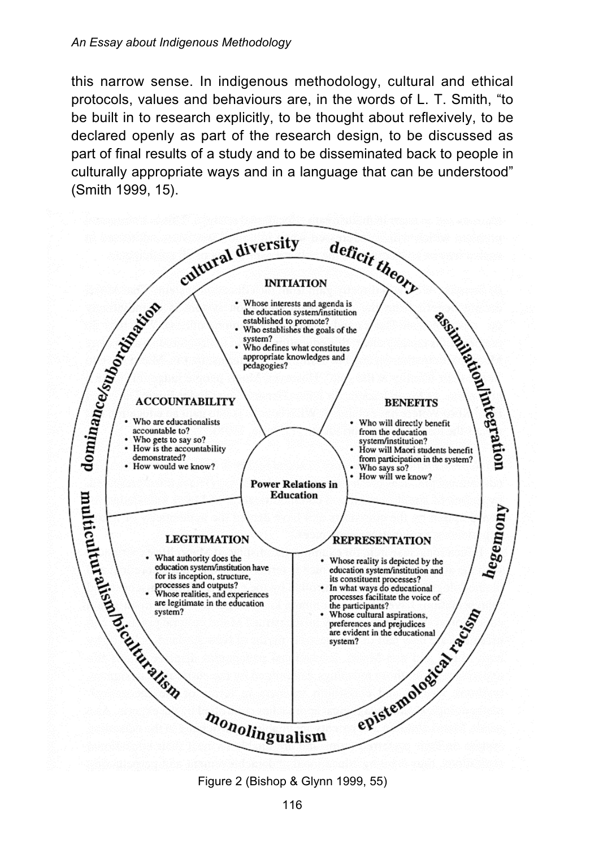#### *An Essay about Indigenous Methodology*

this narrow sense. In indigenous methodology, cultural and ethical protocols, values and behaviours are, in the words of L. T. Smith, "to be built in to research explicitly, to be thought about reflexively, to be declared openly as part of the research design, to be discussed as part of final results of a study and to be disseminated back to people in culturally appropriate ways and in a language that can be understood" (Smith 1999, 15).



Figure 2 (Bishop & Glynn 1999, 55)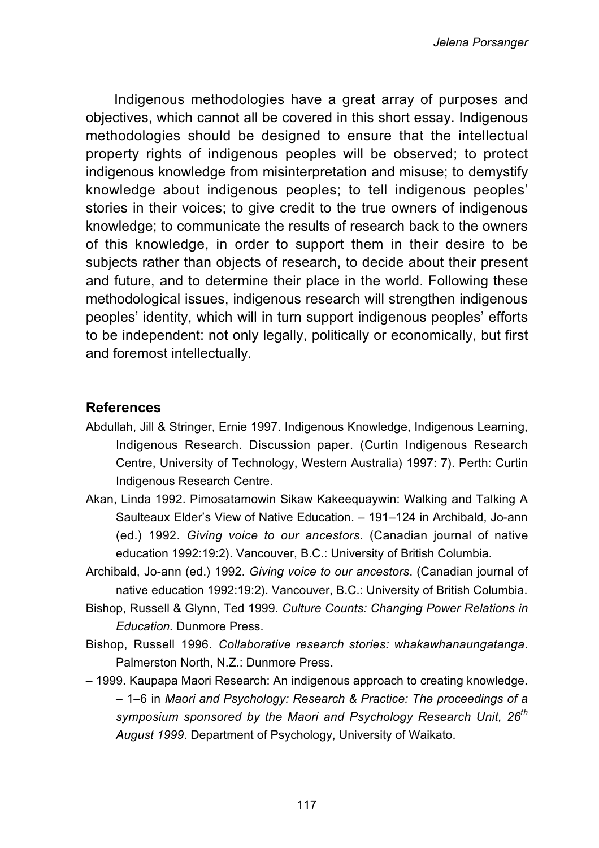Indigenous methodologies have a great array of purposes and objectives, which cannot all be covered in this short essay. Indigenous methodologies should be designed to ensure that the intellectual property rights of indigenous peoples will be observed; to protect indigenous knowledge from misinterpretation and misuse; to demystify knowledge about indigenous peoples; to tell indigenous peoples' stories in their voices; to give credit to the true owners of indigenous knowledge; to communicate the results of research back to the owners of this knowledge, in order to support them in their desire to be subjects rather than objects of research, to decide about their present and future, and to determine their place in the world. Following these methodological issues, indigenous research will strengthen indigenous peoples' identity, which will in turn support indigenous peoples' efforts to be independent: not only legally, politically or economically, but first and foremost intellectually.

#### **References**

- Abdullah, Jill & Stringer, Ernie 1997. Indigenous Knowledge, Indigenous Learning, Indigenous Research. Discussion paper. (Curtin Indigenous Research Centre, University of Technology, Western Australia) 1997: 7). Perth: Curtin Indigenous Research Centre.
- Akan, Linda 1992. Pimosatamowin Sikaw Kakeequaywin: Walking and Talking A Saulteaux Elder's View of Native Education. – 191–124 in Archibald, Jo-ann (ed.) 1992. *Giving voice to our ancestors*. (Canadian journal of native education 1992:19:2). Vancouver, B.C.: University of British Columbia.
- Archibald, Jo-ann (ed.) 1992. *Giving voice to our ancestors*. (Canadian journal of native education 1992:19:2). Vancouver, B.C.: University of British Columbia.
- Bishop, Russell & Glynn, Ted 1999. *Culture Counts: Changing Power Relations in Education.* Dunmore Press.
- Bishop, Russell 1996. *Collaborative research stories: whakawhanaungatanga*. Palmerston North, N.Z.: Dunmore Press.
- 1999. Kaupapa Maori Research: An indigenous approach to creating knowledge. – 1–6 in *Maori and Psychology: Research & Practice: The proceedings of a symposium sponsored by the Maori and Psychology Research Unit, 26th August 1999*. Department of Psychology, University of Waikato.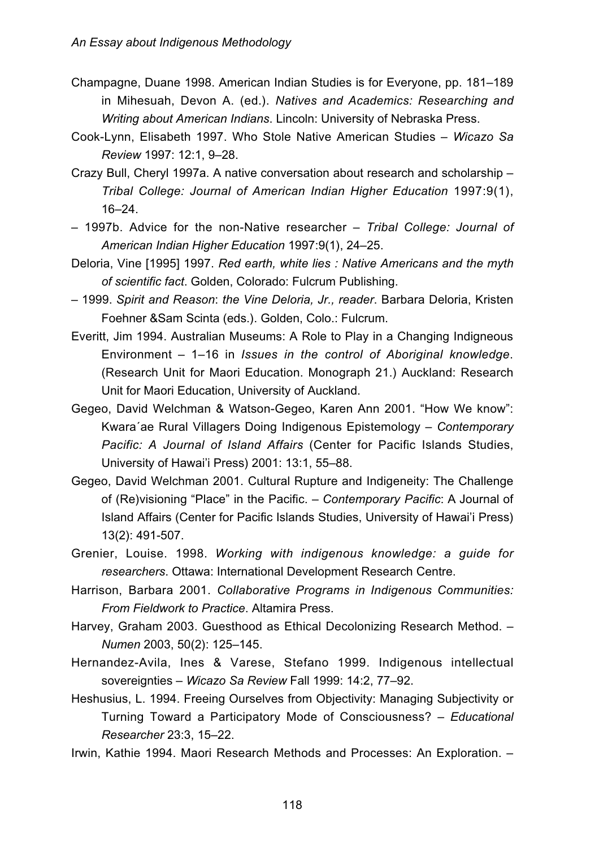- Champagne, Duane 1998. American Indian Studies is for Everyone, pp. 181–189 in Mihesuah, Devon A. (ed.). *Natives and Academics: Researching and Writing about American Indians*. Lincoln: University of Nebraska Press.
- Cook-Lynn, Elisabeth 1997. Who Stole Native American Studies *Wicazo Sa Review* 1997: 12:1, 9–28.
- Crazy Bull, Cheryl 1997a. A native conversation about research and scholarship *Tribal College: Journal of American Indian Higher Education* 1997:9(1), 16–24.
- 1997b. Advice for the non-Native researcher *Tribal College: Journal of American Indian Higher Education* 1997:9(1), 24–25.
- Deloria, Vine [1995] 1997. *Red earth, white lies : Native Americans and the myth of scientific fact*. Golden, Colorado: Fulcrum Publishing.
- 1999. *Spirit and Reason*: *the Vine Deloria, Jr., reader*. Barbara Deloria, Kristen Foehner &Sam Scinta (eds.). Golden, Colo.: Fulcrum.
- Everitt, Jim 1994. Australian Museums: A Role to Play in a Changing Indigneous Environment – 1–16 in *Issues in the control of Aboriginal knowledge*. (Research Unit for Maori Education. Monograph 21.) Auckland: Research Unit for Maori Education, University of Auckland.
- Gegeo, David Welchman & Watson-Gegeo, Karen Ann 2001. "How We know": Kwara´ae Rural Villagers Doing Indigenous Epistemology – *Contemporary Pacific: A Journal of Island Affairs* (Center for Pacific Islands Studies, University of Hawai'i Press) 2001: 13:1, 55–88.
- Gegeo, David Welchman 2001. Cultural Rupture and Indigeneity: The Challenge of (Re)visioning "Place" in the Pacific. – *Contemporary Pacific*: A Journal of Island Affairs (Center for Pacific Islands Studies, University of Hawai'i Press) 13(2): 491-507.
- Grenier, Louise. 1998. *Working with indigenous knowledge: a guide for researchers*. Ottawa: International Development Research Centre.
- Harrison, Barbara 2001. *Collaborative Programs in Indigenous Communities: From Fieldwork to Practice*. Altamira Press.
- Harvey, Graham 2003. Guesthood as Ethical Decolonizing Research Method. *Numen* 2003, 50(2): 125–145.
- Hernandez-Avila, Ines & Varese, Stefano 1999. Indigenous intellectual sovereignties – *Wicazo Sa Review* Fall 1999: 14:2, 77–92.
- Heshusius, L. 1994. Freeing Ourselves from Objectivity: Managing Subjectivity or Turning Toward a Participatory Mode of Consciousness? – *Educational Researcher* 23:3, 15–22.
- Irwin, Kathie 1994. Maori Research Methods and Processes: An Exploration. –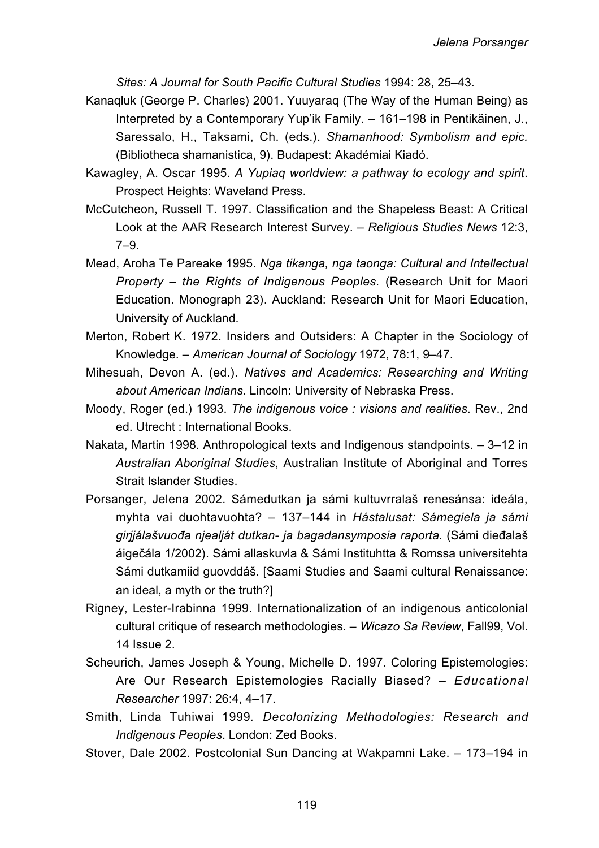*Sites: A Journal for South Pacific Cultural Studies* 1994: 28, 25–43.

- Kanaqluk (George P. Charles) 2001. Yuuyaraq (The Way of the Human Being) as Interpreted by a Contemporary Yup'ik Family. – 161–198 in Pentikäinen, J., Saressalo, H., Taksami, Ch. (eds.). *Shamanhood: Symbolism and epic.* (Bibliotheca shamanistica, 9). Budapest: Akadémiai Kiadó.
- Kawagley, A. Oscar 1995. *A Yupiaq worldview: a pathway to ecology and spirit*. Prospect Heights: Waveland Press.
- McCutcheon, Russell T. 1997. Classification and the Shapeless Beast: A Critical Look at the AAR Research Interest Survey. – *Religious Studies News* 12:3, 7–9.
- Mead, Aroha Te Pareake 1995. *Nga tikanga, nga taonga: Cultural and Intellectual Property – the Rights of Indigenous Peoples.* (Research Unit for Maori Education. Monograph 23). Auckland: Research Unit for Maori Education, University of Auckland.
- Merton, Robert K. 1972. Insiders and Outsiders: A Chapter in the Sociology of Knowledge. – *American Journal of Sociology* 1972, 78:1, 9–47.
- Mihesuah, Devon A. (ed.). *Natives and Academics: Researching and Writing about American Indians*. Lincoln: University of Nebraska Press.
- Moody, Roger (ed.) 1993. *The indigenous voice : visions and realities*. Rev., 2nd ed. Utrecht : International Books.
- Nakata, Martin 1998. Anthropological texts and Indigenous standpoints. 3–12 in *Australian Aboriginal Studies*, Australian Institute of Aboriginal and Torres Strait Islander Studies.
- Porsanger, Jelena 2002. Sámedutkan ja sámi kultuvrralaš renesánsa: ideála, myhta vai duohtavuohta? – 137–144 in *Hástalusat: Sámegiela ja sámi girjjálašvuođa njealját dutkan- ja bagadansymposia raporta.* (Sámi dieđalaš áigečála 1/2002). Sámi allaskuvla & Sámi Instituhtta & Romssa universitehta Sámi dutkamiid guovddáš. [Saami Studies and Saami cultural Renaissance: an ideal, a myth or the truth?]
- Rigney, Lester-Irabinna 1999. Internationalization of an indigenous anticolonial cultural critique of research methodologies. – *Wicazo Sa Review*, Fall99, Vol. 14 Issue 2.
- Scheurich, James Joseph & Young, Michelle D. 1997. Coloring Epistemologies: Are Our Research Epistemologies Racially Biased? – *Educational Researcher* 1997: 26:4, 4–17.
- Smith, Linda Tuhiwai 1999*. Decolonizing Methodologies: Research and Indigenous Peoples*. London: Zed Books.
- Stover, Dale 2002. Postcolonial Sun Dancing at Wakpamni Lake. 173–194 in